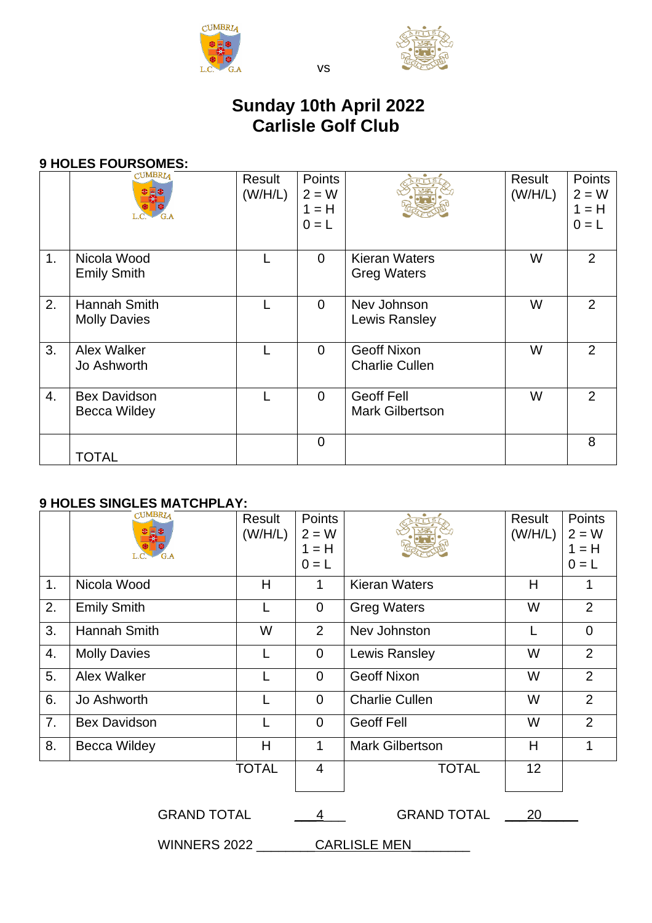



# **Sunday 10th April 2022 Carlisle Golf Club**

vs

## **9 HOLES FOURSOMES:**

|                | <b>CUMBRIA</b>                             | Result<br>(W/H/L) | <b>Points</b><br>$2 = W$<br>$1 = H$<br>$0 = L$ |                                             | Result<br>(W/H/L) | Points<br>$2 = W$<br>$1 = H$<br>$0 = L$ |
|----------------|--------------------------------------------|-------------------|------------------------------------------------|---------------------------------------------|-------------------|-----------------------------------------|
| 1 <sub>1</sub> | Nicola Wood<br><b>Emily Smith</b>          |                   | $\overline{0}$                                 | <b>Kieran Waters</b><br><b>Greg Waters</b>  | W                 | $\overline{2}$                          |
| 2.             | Hannah Smith<br><b>Molly Davies</b>        |                   | $\overline{0}$                                 | Nev Johnson<br>Lewis Ransley                | W                 | 2                                       |
| 3.             | Alex Walker<br>Jo Ashworth                 |                   | $\mathbf 0$                                    | <b>Geoff Nixon</b><br><b>Charlie Cullen</b> | W                 | 2                                       |
| 4.             | <b>Bex Davidson</b><br><b>Becca Wildey</b> |                   | $\overline{0}$                                 | <b>Geoff Fell</b><br><b>Mark Gilbertson</b> | W                 | $\overline{2}$                          |
|                | <b>TOTAL</b>                               |                   | $\overline{0}$                                 |                                             |                   | 8                                       |

## **9 HOLES SINGLES MATCHPLAY:**

|                    | <b>CUMBRIA</b>      | Result<br>(W/H/L) | <b>Points</b><br>$2 = W$<br>$1 = H$<br>$0 = L$ |                        | Result<br>(W/H/L) | Points<br>$2 = W$<br>$1 = H$<br>$0 = L$ |
|--------------------|---------------------|-------------------|------------------------------------------------|------------------------|-------------------|-----------------------------------------|
| 1.                 | Nicola Wood         | H                 | 1                                              | <b>Kieran Waters</b>   | H                 | 1                                       |
| 2.                 | <b>Emily Smith</b>  |                   | 0                                              | <b>Greg Waters</b>     | W                 | $\overline{2}$                          |
| 3.                 | Hannah Smith        | W                 | $\overline{2}$                                 | Nev Johnston           |                   | $\Omega$                                |
| 4.                 | <b>Molly Davies</b> |                   | $\overline{0}$                                 | Lewis Ransley          | W                 | 2                                       |
| 5.                 | Alex Walker         |                   | $\overline{0}$                                 | <b>Geoff Nixon</b>     | W                 | $\overline{2}$                          |
| 6.                 | Jo Ashworth         |                   | $\overline{0}$                                 | <b>Charlie Cullen</b>  | W                 | 2                                       |
| 7.                 | <b>Bex Davidson</b> |                   | $\overline{0}$                                 | <b>Geoff Fell</b>      | W                 | $\overline{2}$                          |
| 8.                 | <b>Becca Wildey</b> | H                 | $\mathbf{1}$                                   | <b>Mark Gilbertson</b> | H                 | 1                                       |
|                    |                     | <b>TOTAL</b>      | 4                                              | <b>TOTAL</b>           | 12                |                                         |
| <b>GRAND TOTAL</b> |                     | 4                 | <b>GRAND TOTAL</b>                             | 20                     |                   |                                         |

WINNERS 2022 \_\_\_\_\_\_\_\_ CARLISLE MEN\_\_\_